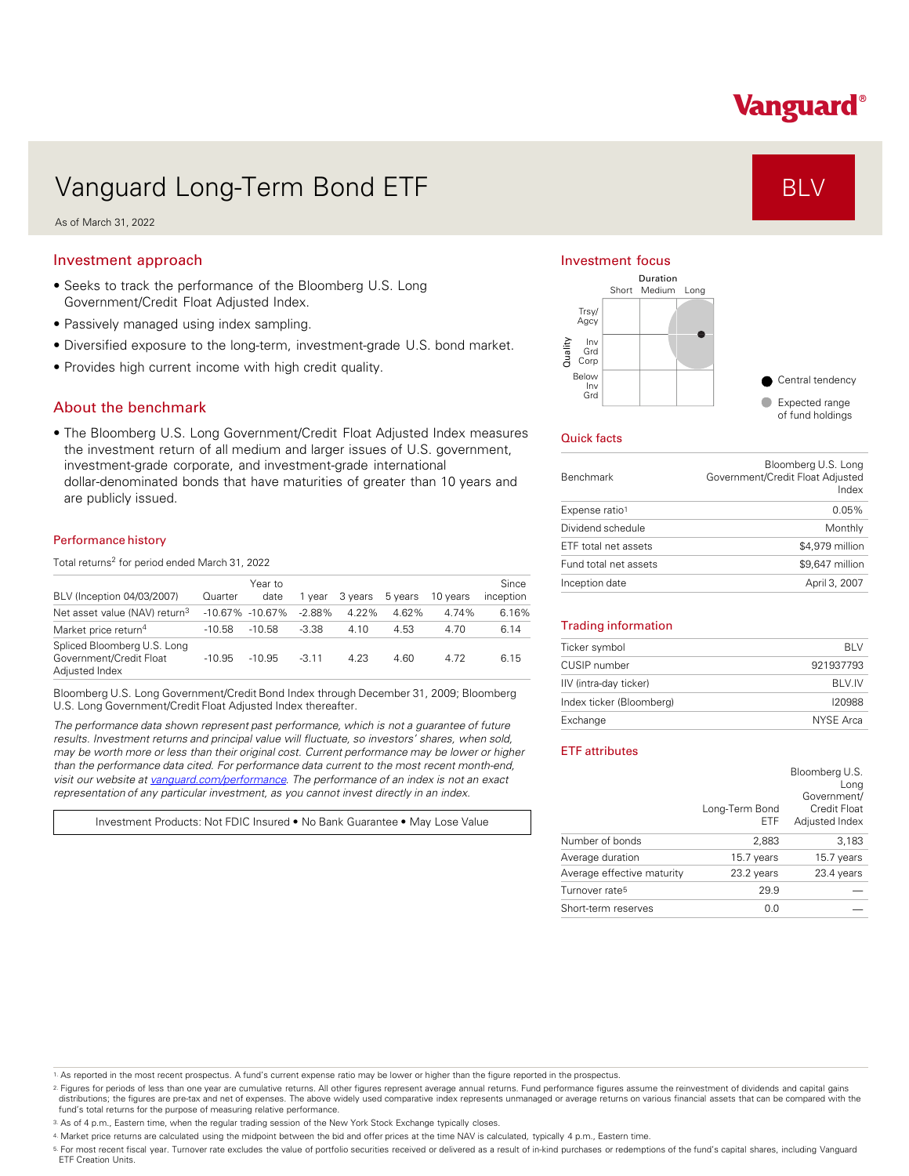# Vanguard®

# Vanguard Long-Term Bond ETF Annual Constant of BLV

As of March 31, 2022

### Investment approach

- Seeks to track the performance of the Bloomberg U.S. Long Government/Credit Float Adjusted Index.
- Passively managed using index sampling.
- Diversified exposure to the long-term, investment-grade U.S. bond market.
- Provides high current income with high credit quality.

### About the benchmark

• The Bloomberg U.S. Long Government/Credit Float Adjusted Index measures the investment return of all medium and larger issues of U.S. government, investment-grade corporate, and investment-grade international dollar-denominated bonds that have maturities of greater than 10 years and are publicly issued.

#### Performance history

Total returns<sup>2</sup> for period ended March 31, 2022

|                                                                          |          | Year to             |          |         |         |          | Since     |
|--------------------------------------------------------------------------|----------|---------------------|----------|---------|---------|----------|-----------|
| BLV (Inception 04/03/2007)                                               | Quarter  | date                | 1 vear   | 3 years | 5 years | 10 years | inception |
| Net asset value (NAV) return <sup>3</sup>                                |          | $-10.67\% -10.67\%$ | $-2.88%$ | 4 22%   | 4.62%   | 4.74%    | 6.16%     |
| Market price return <sup>4</sup>                                         | $-10.58$ | $-10.58$            | $-3.38$  | 4.10    | 4.53    | 4.70     | 6.14      |
| Spliced Bloomberg U.S. Long<br>Government/Credit Float<br>Adjusted Index | $-10.95$ | $-10.95$            | $-3.11$  | 4.23    | 4.60    | 4.72     | 6.15      |

Bloomberg U.S. Long Government/Credit Bond Index through December 31, 2009; Bloomberg U.S. Long Government/Credit Float Adjusted Index thereafter.

*The performance data shown represent past performance, which is not a guarantee of future results. Investment returns and principal value will fluctuate, so investors' shares, when sold, may be worth more or less than their original cost. Current performance may be lower or higher than the performance data cited. For performance data current to the most recent month-end, visit our website at [vanguard.com/performance .](http://www.vanguard.com/performance) The performance of an index is not an exact representation of any particular investment, as you cannot invest directly in an index.* 

Investment Products: Not FDIC Insured • No Bank Guarantee • May Lose Value

#### Investment focus



#### Quick facts

| <b>Benchmark</b>      | Bloomberg U.S. Long<br>Government/Credit Float Adjusted<br>Index |
|-----------------------|------------------------------------------------------------------|
| Expense ratio1        | 0.05%                                                            |
| Dividend schedule     | Monthly                                                          |
| ETF total net assets  | \$4,979 million                                                  |
| Fund total net assets | \$9.647 million                                                  |
| Inception date        | April 3, 2007                                                    |

#### Trading information

| Ticker symbol            | <b>BIV</b>   |
|--------------------------|--------------|
| CUSIP number             | 921937793    |
| IIV (intra-day ticker)   | <b>BIVIV</b> |
| Index ticker (Bloomberg) | 120988       |
| Exchange                 | NYSE Arca    |

#### ETF attributes

|                            | Long-Term Bond<br>ETF | Bloomberg U.S.<br>Long<br>Government/<br>Credit Float<br>Adjusted Index |
|----------------------------|-----------------------|-------------------------------------------------------------------------|
| Number of bonds            | 2,883                 | 3,183                                                                   |
| Average duration           | 15.7 years            | 15.7 years                                                              |
| Average effective maturity | 23.2 years            | 23.4 years                                                              |
| Turnover rate <sup>5</sup> | 29.9                  |                                                                         |
| Short-term reserves        | 0.0                   |                                                                         |

1. As reported in the most recent prospectus. A fund's current expense ratio may be lower or higher than the figure reported in the prospectus.

2. Figures for periods of less than one year are cumulative returns. All other figures represent average annual returns. Fund performance figures assume the reinvestment of dividends and capital gains distributions; the figures are pre-tax and net of expenses. The above widely used comparative index represents unmanaged or average returns on various financial assets that can be compared with the<br>fund's total returns for

3. As of 4 p.m., Eastern time, when the regular trading session of the New York Stock Exchange typically closes.

4. Market price returns are calculated using the midpoint between the bid and offer prices at the time NAV is calculated, typically 4 p.m., Eastern time.

<sup>5.</sup> For most recent fiscal year. Turnover rate excludes the value of portfolio securities received or delivered as a result of in-kind purchases or redemptions of the fund's capital shares, including Vanguard<br>ETF Creation